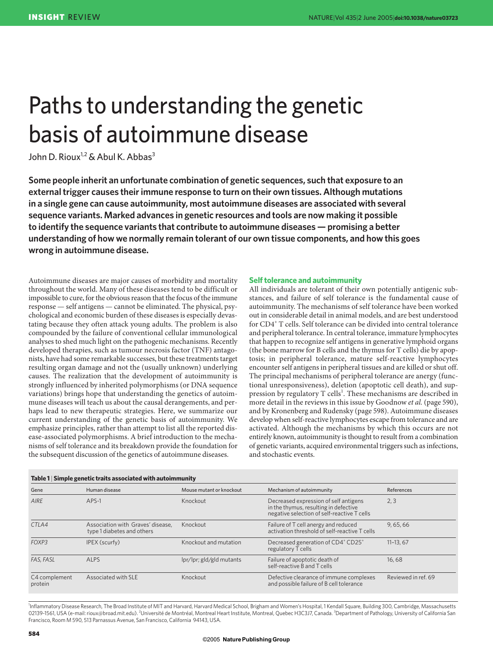# Paths to understanding the genetic basis of autoimmune disease

John D. Rioux<sup>1,2</sup> & Abul K. Abbas<sup>3</sup>

**Some people inherit an unfortunate combination of genetic sequences, such that exposure to an external trigger causes their immune response to turn on their own tissues. Although mutations in a single gene can cause autoimmunity, most autoimmune diseases are associated with several sequence variants. Marked advances in genetic resources and tools are now making it possible to identify the sequence variants that contribute to autoimmune diseases — promising a better understanding of how we normally remain tolerant of our own tissue components, and how this goes wrong in autoimmune disease.**

Autoimmune diseases are major causes of morbidity and mortality throughout the world. Many of these diseases tend to be difficult or impossible to cure, for the obvious reason that the focus of the immune response — self antigens — cannot be eliminated. The physical, psychological and economic burden of these diseases is especially devastating because they often attack young adults. The problem is also compounded by the failure of conventional cellular immunological analyses to shed much light on the pathogenic mechanisms. Recently developed therapies, such as tumour necrosis factor (TNF) antagonists, have had some remarkable successes, but these treatments target resulting organ damage and not the (usually unknown) underlying causes. The realization that the development of autoimmunity is strongly influenced by inherited polymorphisms (or DNA sequence variations) brings hope that understanding the genetics of autoimmune diseases will teach us about the causal derangements, and perhaps lead to new therapeutic strategies. Here, we summarize our current understanding of the genetic basis of autoimmunity. We emphasize principles, rather than attempt to list all the reported disease-associated polymorphisms. A brief introduction to the mechanisms of self tolerance and its breakdown provide the foundation for the subsequent discussion of the genetics of autoimmune diseases.

#### **Self tolerance and autoimmunity**

All individuals are tolerant of their own potentially antigenic substances, and failure of self tolerance is the fundamental cause of autoimmunity. The mechanisms of self tolerance have been worked out in considerable detail in animal models, and are best understood for CD4<sup>+</sup> T cells. Self tolerance can be divided into central tolerance and peripheral tolerance. In central tolerance, immature lymphocytes that happen to recognize self antigens in generative lymphoid organs (the bone marrow for B cells and the thymus for T cells) die by apoptosis; in peripheral tolerance, mature self-reactive lymphocytes encounter self antigens in peripheral tissues and are killed or shut off. The principal mechanisms of peripheral tolerance are anergy (functional unresponsiveness), deletion (apoptotic cell death), and suppression by regulatory T cells $^1$ . These mechanisms are described in more detail in the reviews in this issue by Goodnow *et al.* (page 590), and by Kronenberg and Rudensky (page 598). Autoimmune diseases develop when self-reactive lymphocytes escape from tolerance and are activated. Although the mechanisms by which this occurs are not entirely known, autoimmunity is thought to result from a combination of genetic variants, acquired environmental triggers such as infections, and stochastic events.

| Table 1   Simple genetic traits associated with autoimmunity |                                                                 |                          |                                                                                                                               |                     |  |  |  |  |
|--------------------------------------------------------------|-----------------------------------------------------------------|--------------------------|-------------------------------------------------------------------------------------------------------------------------------|---------------------|--|--|--|--|
| Gene                                                         | Human disease                                                   | Mouse mutant or knockout | Mechanism of autoimmunity                                                                                                     | References          |  |  |  |  |
| <b>AIRE</b>                                                  | APS-1                                                           | Knockout                 | Decreased expression of self antigens<br>in the thymus, resulting in defective<br>negative selection of self-reactive T cells | 2,3                 |  |  |  |  |
| CTLA4                                                        | Association with Graves' disease.<br>type 1 diabetes and others | Knockout                 | Failure of T cell anergy and reduced<br>activation threshold of self-reactive T cells                                         | 9, 65, 66           |  |  |  |  |
| FOXP <sub>3</sub>                                            | IPEX (scurfy)                                                   | Knockout and mutation    | Decreased generation of CD4 <sup>+</sup> CD25 <sup>+</sup><br>regulatory T cells                                              | $11-13.67$          |  |  |  |  |
| <b>FAS, FASL</b>                                             | <b>ALPS</b>                                                     | lpr/lpr; gld/gld mutants | Failure of apoptotic death of<br>self-reactive B and T cells                                                                  | 16,68               |  |  |  |  |
| C4 complement<br>protein                                     | Associated with SLE                                             | Knockout                 | Defective clearance of immune complexes<br>and possible failure of B cell tolerance                                           | Reviewed in ref. 69 |  |  |  |  |

1 Inflammatory Disease Research, The Broad Institute of MIT and Harvard, Harvard Medical School, Brigham and Women's Hospital, 1 Kendall Square, Building 300, Cambridge, Massachusetts 02139-1561, USA (e-mail: rioux@broad.mit.edu). <sup>2</sup>Université de Montréal, Montreal Heart Institute, Montreal, Quebec H3C3J7, Canada. <sup>3</sup>Department of Pathology, University of California San Francisco, Room M 590, 513 Parnassus Avenue, San Francisco, California 94143, USA.

#### ©2005 **NaturePublishingGroup**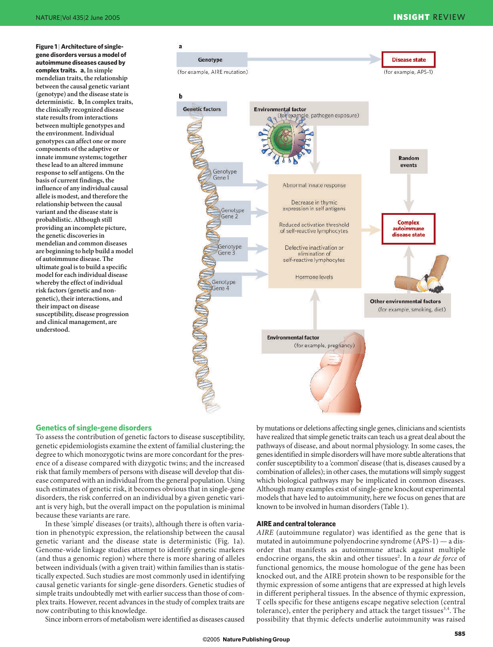**Figure 1** | **Architecture of singlegene disorders versus a model of autoimmune diseases caused by complex traits. a, In simple mendelian traits, the relationship between the causal genetic variant (genotype) and the disease state is deterministic. b, In complex traits, the clinically recognized disease state results from interactions between multiple genotypes and the environment. Individual genotypes can affect one or more components of the adaptive or innate immune systems; together these lead to an altered immune response to self antigens. On the basis of current findings, the influence of any individual causal allele is modest, and therefore the relationship between the causal variant and the disease state is probabilistic. Although still providing an incomplete picture, the genetic discoveries in mendelian and common diseases are beginning to help build a model of autoimmune disease. The ultimate goal is to build a specific model for each individual disease whereby the effect of individual risk factors (genetic and nongenetic), their interactions, and their impact on disease susceptibility, disease progression and clinical management, are understood.**



# **Genetics of single-gene disorders**

To assess the contribution of genetic factors to disease susceptibility, genetic epidemiologists examine the extent of familial clustering; the degree to which monozygotic twins are more concordant for the presence of a disease compared with dizygotic twins; and the increased risk that family members of persons with disease will develop that disease compared with an individual from the general population. Using such estimates of genetic risk, it becomes obvious that in single-gene disorders, the risk conferred on an individual by a given genetic variant is very high, but the overall impact on the population is minimal because these variants are rare.

In these 'simple' diseases (or traits), although there is often variation in phenotypic expression, the relationship between the causal genetic variant and the disease state is deterministic (Fig. 1a). Genome-wide linkage studies attempt to identify genetic markers (and thus a genomic region) where there is more sharing of alleles between individuals (with a given trait) within families than is statistically expected. Such studies are most commonly used in identifying causal genetic variants for single-gene disorders. Genetic studies of simple traits undoubtedly met with earlier success than those of complex traits. However, recent advances in the study of complex traits are now contributing to this knowledge.

Since inborn errors of metabolism were identified as diseases caused

by mutations or deletions affecting single genes, clinicians and scientists have realized that simple genetic traits can teach us a great deal about the pathways of disease, and about normal physiology. In some cases, the genes identified in simple disorders will have more subtle alterations that confer susceptibility to a 'common' disease (that is, diseases caused by a combination of alleles); in other cases, the mutations will simply suggest which biological pathways may be implicated in common diseases. Although many examples exist of single-gene knockout experimental models that have led to autoimmunity, here we focus on genes that are known to be involved in human disorders (Table 1).

# **AIRE and central tolerance**

*AIRE* (autoimmune regulator) was identified as the gene that is mutated in autoimmune polyendocrine syndrome (APS-1) — a disorder that manifests as autoimmune attack against multiple endocrine organs, the skin and other tissues<sup>2</sup>. In a *tour de force* of functional genomics, the mouse homologue of the gene has been knocked out, and the AIRE protein shown to be responsible for the thymic expression of some antigens that are expressed at high levels in different peripheral tissues. In the absence of thymic expression, T cells specific for these antigens escape negative selection (central tolerance), enter the periphery and attack the target tissues<sup>3,4</sup>. The possibility that thymic defects underlie autoimmunity was raised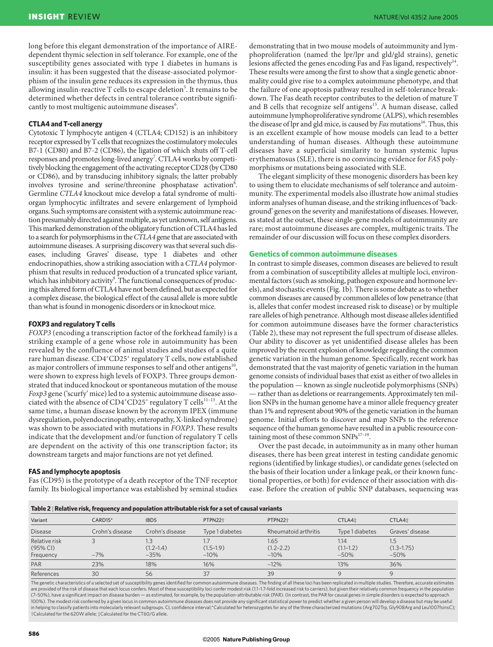long before this elegant demonstration of the importance of AIREdependent thymic selection in self tolerance. For example, one of the susceptibility genes associated with type 1 diabetes in humans is insulin: it has been suggested that the disease-associated polymorphism of the insulin gene reduces its expression in the thymus, thus allowing insulin-reactive T cells to escape deletion<sup>5</sup>. It remains to be determined whether defects in central tolerance contribute significantly to most multigenic autoimmune diseases<sup>6</sup>.

# **CTLA4 and T-cell anergy**

Cytotoxic T lymphocyte antigen 4 (CTLA4; CD152) is an inhibitory receptor expressed by T cells that recognizes the costimulatory molecules B7-1 (CD80) and B7-2 (CD86), the ligation of which shuts off T-cell responses and promotes long-lived anergy<sup>7</sup>. CTLA4 works by competitively blocking the engagement of the activating receptor CD28 (by CD80 or CD86), and by transducing inhibitory signals; the latter probably involves tyrosine and serine/threonine phosphatase activation<sup>8</sup>. Germline *CTLA4* knockout mice develop a fatal syndrome of multiorgan lymphocytic infiltrates and severe enlargement of lymphoid organs. Such symptoms are consistent with a systemic autoimmune reaction presumably directed against multiple, as yet unknown, self antigens. This marked demonstration of the obligatory function of CTLA4 has led to a search for polymorphisms in the *CTLA4* gene that are associated with autoimmune diseases. A surprising discovery was that several such diseases, including Graves' disease, type 1 diabetes and other endocrinopathies, show a striking association with a *CTLA4* polymorphism that results in reduced production of a truncated splice variant, which has inhibitory activity<sup>9</sup>. The functional consequences of producing this altered form of CTLA4 have not been defined, but as expected for a complex disease, the biological effect of the causal allele is more subtle than what is found in monogenic disorders or in knockout mice.

#### **FOXP3 and regulatory T cells**

*FOXP3* (encoding a transcription factor of the forkhead family) is a striking example of a gene whose role in autoimmunity has been revealed by the confluence of animal studies and studies of a quite rare human disease. CD4<sup>+</sup>CD25<sup>+</sup> regulatory T cells, now established as major controllers of immune responses to self and other antigens<sup>10</sup>, were shown to express high levels of FOXP3. Three groups demonstrated that induced knockout or spontaneous mutation of the mouse *Foxp3* gene ('scurfy' mice) led to a systemic autoimmune disease associated with the absence of  $CD4^+CD25^+$  regulatory T cells<sup>11-13</sup>. At the same time, a human disease known by the acronym IPEX (immune dysregulation, polyendocrinopathy, enteropathy, X-linked syndrome) was shown to be associated with mutations in *FOXP3*. These results indicate that the development and/or function of regulatory T cells are dependent on the activity of this one transcription factor; its downstream targets and major functions are not yet defined.

#### **FAS and lymphocyte apoptosis**

Fas (CD95) is the prototype of a death receptor of the TNF receptor family. Its biological importance was established by seminal studies demonstrating that in two mouse models of autoimmunity and lymphoproliferation (named the lpr/lpr and gld/gld strains), genetic lesions affected the genes encoding Fas and Fas ligand, respectively $14$ . These results were among the first to show that a single genetic abnormality could give rise to a complex autoimmune phenotype, and that the failure of one apoptosis pathway resulted in self-tolerance breakdown. The Fas death receptor contributes to the deletion of mature T and B cells that recognize self antigens<sup>15</sup>. A human disease, called autoimmune lymphoproliferative syndrome (ALPS), which resembles the disease of lpr and gld mice, is caused by *Fas* mutations<sup>16</sup>. Thus, this is an excellent example of how mouse models can lead to a better understanding of human diseases. Although these autoimmune diseases have a superficial similarity to human systemic lupus erythematosus (SLE), there is no convincing evidence for *FAS* polymorphisms or mutations being associated with SLE.

The elegant simplicity of these monogenic disorders has been key to using them to elucidate mechanisms of self tolerance and autoimmunity. The experimental models also illustrate how animal studies inform analyses of human disease, and the striking influences of 'background' genes on the severity and manifestations of diseases. However, as stated at the outset, these single-gene models of autoimmunity are rare; most autoimmune diseases are complex, multigenic traits. The remainder of our discussion will focus on these complex disorders.

# **Genetics of common autoimmune diseases**

In contrast to simple diseases, common diseases are believed to result from a combination of susceptibility alleles at multiple loci, environmental factors (such as smoking, pathogen exposure and hormone levels), and stochastic events (Fig. 1b). There is some debate as to whether common diseases are caused by common alleles of low penetrance (that is, alleles that confer modest increased risk to disease) or by multiple rare alleles of high penetrance. Although most disease alleles identified for common autoimmune diseases have the former characteristics (Table 2), these may not represent the full spectrum of disease alleles. Our ability to discover as yet unidentified disease alleles has been improved by the recent explosion of knowledge regarding the common genetic variation in the human genome. Specifically, recent work has demonstrated that the vast majority of genetic variation in the human genome consists of individual bases that exist as either of two alleles in the population — known as single nucleotide polymorphisms (SNPs) — rather than as deletions or rearrangements. Approximately ten million SNPs in the human genome have a minor allele frequency greater than 1% and represent about 90% of the genetic variation in the human genome. Initial efforts to discover and map SNPs to the reference sequence of the human genome have resulted in a public resource containing most of these common  $SNPs^{17-19}$ .

Over the past decade, in autoimmunity as in many other human diseases, there has been great interest in testing candidate genomic regions (identified by linkage studies), or candidate genes (selected on the basis of their location under a linkage peak, or their known functional properties, or both) for evidence of their association with disease. Before the creation of public SNP databases, sequencing was

**Table 2** | **Relative risk, frequency and population attributable risk for a set of causal variants**

| <u>1996 - Relative Hon, Heydelity alld population attributable Hon for a Set of Causal Variants</u> |                 |                  |                     |                      |                    |                 |  |  |  |
|-----------------------------------------------------------------------------------------------------|-----------------|------------------|---------------------|----------------------|--------------------|-----------------|--|--|--|
| Variant                                                                                             | CARD15*         | IBD <sub>5</sub> | PTPN22 <sup>+</sup> | PTPN22 <sup>+</sup>  | CTLA4 <sup>*</sup> | CTLA4:          |  |  |  |
| <b>Disease</b>                                                                                      | Crohn's disease | Crohn's disease  | Type 1 diabetes     | Rheumatoid arthritis | Type 1 diabetes    | Graves' disease |  |  |  |
| Relative risk                                                                                       |                 |                  |                     | 1.65                 | 1.14               | 1.5             |  |  |  |
| (95% CI)                                                                                            |                 | $(1.2 - 1.4)$    | $(1.5-1.9)$         | $(1.2 - 2.2)$        | $(1.1 - 1.2)$      | $(1.3 - 1.75)$  |  |  |  |
| Frequency                                                                                           | $-7%$           | $-35%$           | $-10\%$             | $~10\%$              | $-50\%$            | $-50\%$         |  |  |  |
| <b>PAR</b>                                                                                          | 23%             | 18%              | 16%                 | $-12\%$              | 13%                | 36%             |  |  |  |
| References                                                                                          | 30              | 56               | 37                  | 39                   |                    | Q               |  |  |  |

The genetic characteristics of a selected set of susceptibility genes identified for common autoimmune diseases. The finding of all these loci has been replicated in multiple studies. Therefore, accurate estimates are provided of the risk of disease that each locus confers. Most of these susceptibility loci confer modest risk (1.1–1.7-fold increased risk to carriers), but given their relatively common frequency in the population are (7–50%), have a significant impact on disease burden — as estimated, for example, by the population-attributable risk (PAR). (In contrast, the PAR for causal genes in simple disorders is expected to approach 100%). The modest risk conferred by a given locus in common autoimmune diseases does not provide any significant statistical power to predict whether a given person will develop a disease but may be useful in helping to classify patients into molecularly relevant subgroups. CI, confidence interval;\*Calculated for heterozygotes for any of the three characterized mutations (Arg702Trp, Gly908Arg and Leu1007fsinsC); †Calculated for the 620W allele; ‡Calculated for the CT60/G allele.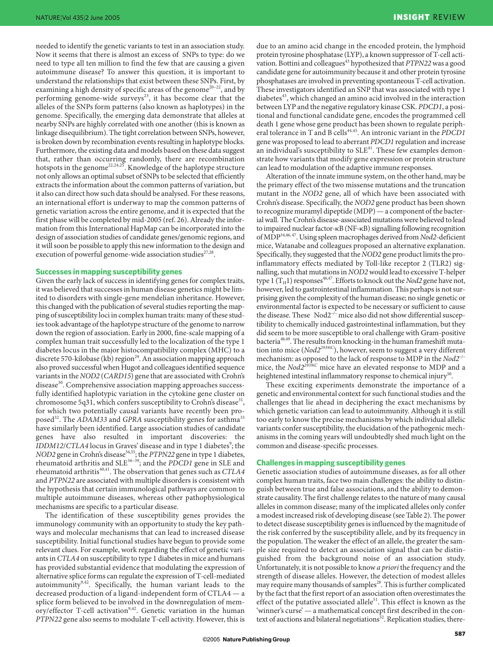needed to identify the genetic variants to test in an association study. Now it seems that there is almost an excess of SNPs to type: do we need to type all ten million to find the few that are causing a given autoimmune disease? To answer this question, it is important to understand the relationships that exist between these SNPs. First, by examining a high density of specific areas of the genome<sup>20-22</sup>, and by performing genome-wide surveys $23$ , it has become clear that the alleles of the SNPs form patterns (also known as haplotypes) in the genome. Specifically, the emerging data demonstrate that alleles at nearby SNPs are highly correlated with one another (this is known as linkage disequilibrium). The tight correlation between SNPs, however, is broken down by recombination events resulting in haplotype blocks. Furthermore, the existing data and models based on these data suggest that, rather than occurring randomly, there are recombination hotspots in the genome<sup>22,24,25</sup>. Knowledge of the haplotype structure not only allows an optimal subset of SNPs to be selected that efficiently extracts the information about the common patterns of variation, but it also can direct how such data should be analysed. For these reasons, an international effort is underway to map the common patterns of genetic variation across the entire genome, and it is expected that the first phase will be completed by mid-2005 (ref. 26). Already the information from this International HapMap can be incorporated into the design of association studies of candidate genes/genomic regions, and it will soon be possible to apply this new information to the design and execution of powerful genome-wide association studies $27,28$ .

#### **Successes in mapping susceptibility genes**

Given the early lack of success in identifying genes for complex traits, it was believed that successes in human disease genetics might be limited to disorders with single-gene mendelian inheritance. However, this changed with the publication of several studies reporting the mapping of susceptibility loci in complex human traits: many of these studies took advantage of the haplotype structure of the genome to narrow down the region of association. Early in 2000, fine-scale mapping of a complex human trait successfully led to the localization of the type 1 diabetes locus in the major histocompatibility complex (MHC) to a discrete 570-kilobase (kb) region<sup>29</sup>. An association mapping approach also proved successful when Hugot and colleagues identified sequence variants in the *NOD2* (*CARD15*) gene that are associated with Crohn's disease<sup>30</sup>. Comprehensive association mapping approaches successfully identified haplotypic variation in the cytokine gene cluster on chromosome 5q31, which confers susceptibility to Crohn's disease<sup>31</sup>, for which two potentially causal variants have recently been proposed<sup>32</sup>. The *ADAM33* and *GPRA* susceptibility genes for asthma<sup>33</sup> have similarly been identified. Large association studies of candidate genes have also resulted in important discoveries: the IDDM12/CTLA4 locus in Graves' disease and in type 1 diabetes<sup>9</sup>; the *NOD2* gene in Crohn's disease<sup>34,35</sup>; the *PTPN22* gene in type 1 diabetes, rheumatoid arthritis and SLE36–39; and the *PDCD1* gene in SLE and rheumatoid arthritis<sup>40,41</sup>. The observation that genes such as *CTLA4* and *PTPN22* are associated with multiple disorders is consistent with the hypothesis that certain immunological pathways are common to multiple autoimmune diseases, whereas other pathophysiological mechanisms are specific to a particular disease.

The identification of these susceptibility genes provides the immunology community with an opportunity to study the key pathways and molecular mechanisms that can lead to increased disease susceptibility. Initial functional studies have begun to provide some relevant clues. For example, work regarding the effect of genetic variants in *CTLA4* on susceptibility to type 1 diabetes in mice and humans has provided substantial evidence that modulating the expression of alternative splice forms can regulate the expression of T-cell-mediated autoimmunity<sup>9,42</sup>. Specifically, the human variant leads to the decreased production of a ligand-independent form of CTLA4 — a splice form believed to be involved in the downregulation of memory/effector T-cell activation<sup>9,42</sup>. Genetic variation in the human *PTPN22* gene also seems to modulate T-cell activity. However, this is

due to an amino acid change in the encoded protein, the lymphoid protein tyrosine phosphatase (LYP), a known suppressor of T-cell activation. Bottini and colleagues<sup>43</sup> hypothesized that *PTPN22* was a good candidate gene for autoimmunity because it and other protein tyrosine phosphatases are involved in preventing spontaneous T-cell activation. These investigators identified an SNP that was associated with type 1 diabetes<sup>43</sup>, which changed an amino acid involved in the interaction between LYP and the negative regulatory kinase CSK. *PDCD1*, a positional and functional candidate gene, encodes the programmed cell death 1 gene whose gene product has been shown to regulate peripheral tolerance in T and B cells<sup>44,45</sup>. An intronic variant in the *PDCD1* gene was proposed to lead to aberrant *PDCD1* regulation and increase an individual's susceptibility to  $SLE<sup>41</sup>$ . These few examples demonstrate how variants that modify gene expression or protein structure can lead to modulation of the adaptive immune responses.

Alteration of the innate immune system, on the other hand, may be the primary effect of the two missense mutations and the truncation mutant in the *NOD2* gene, all of which have been associated with Crohn's disease. Specifically, the *NOD2* gene product has been shown to recognize muramyl dipeptide (MDP) — a component of the bacterial wall. The Crohn's disease-associated mutations were believed to lead to impaired nuclear factor- $\kappa$ B (NF- $\kappa$ B) signalling following recognition of MDP34,46, 47. Using spleen macrophages derived from *Nod2*-deficient mice, Watanabe and colleagues proposed an alternative explanation. Specifically, they suggested that the *NOD2* gene product limits the proinflammatory effects mediated by Toll-like receptor 2 (TLR2) signalling, such that mutations in *NOD2* would lead to excessive T-helper type  $1(T_H1)$  responses<sup>46,47</sup>. Efforts to knock out the *Nod2* gene have not, however, led to gastrointestinal inflammation. This perhaps is not surprising given the complexity of the human disease; no single genetic or environmental factor is expected to be necessary or sufficient to cause the disease. These  $Nod2^{-/-}$  mice also did not show differential susceptibility to chemically induced gastrointestinal inflammation, but they did seem to be more susceptible to oral challenge with Gram-positive bacteria48,49. The results from knocking-in the human frameshift mutation into mice (*Nod22939iC*), however, seem to suggest a very different mechanism: as opposed to the lack of response to MDP in the *Nod2*–/– mice, the *Nod22939iC* mice have an elevated response to MDP and a heightened intestinal inflammatory response to chemical injury<sup>50</sup>.

These exciting experiments demonstrate the importance of a genetic and environmental context for such functional studies and the challenges that lie ahead in deciphering the exact mechanisms by which genetic variation can lead to autoimmunity. Although it is still too early to know the precise mechanisms by which individual allelic variants confer susceptibility, the elucidation of the pathogenic mechanisms in the coming years will undoubtedly shed much light on the common and disease-specific processes.

#### **Challenges in mapping susceptibility genes**

Genetic association studies of autoimmune diseases, as for all other complex human traits, face two main challenges: the ability to distinguish between true and false associations, and the ability to demonstrate causality. The first challenge relates to the nature of many causal alleles in common disease; many of the implicated alleles only confer a modest increased risk of developing disease (see Table 2). The power to detect disease susceptibility genes is influenced by the magnitude of the risk conferred by the susceptibility allele, and by its frequency in the population. The weaker the effect of an allele, the greater the sample size required to detect an association signal that can be distinguished from the background noise of an association study. Unfortunately, it is not possible to know *a priori* the frequency and the strength of disease alleles. However, the detection of modest alleles may require many thousands of samples<sup>28</sup>. This is further complicated by the fact that the first report of an association often overestimates the effect of the putative associated allele<sup>51</sup>. This effect is known as the 'winner's curse' — a mathematical concept first described in the context of auctions and bilateral negotiations<sup>52</sup>. Replication studies, there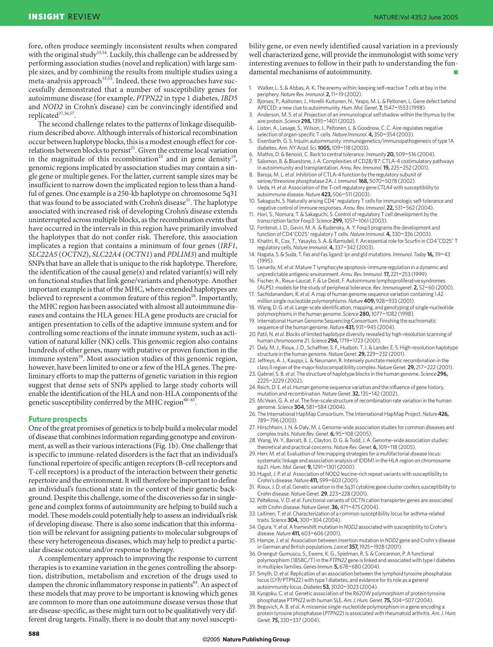fore, often produce seemingly inconsistent results when compared with the original study<sup>53,54</sup>. Luckily, this challenge can be addressed by performing association studies (novel and replication) with large sample sizes, and by combining the results from multiple studies using a meta-analysis approach<sup>53,55</sup>. Indeed, these two approaches have successfully demonstrated that a number of susceptibility genes for autoimmune disease (for example, *PTPN22* in type 1 diabetes, *IBD5* and *NOD2* in Crohn's disease) can be convincingly identified and replicated<sup>37,56,57</sup>.

The second challenge relates to the patterns of linkage disequilibrium described above. Although intervals of historical recombination occur between haplotype blocks, this is a modest enough effect for correlations between blocks to persist<sup>21</sup>. Given the extreme local variation in the magnitude of this recombination<sup>25</sup> and in gene density<sup>19</sup>, genomic regions implicated by association studies may contain a single gene or multiple genes. For the latter, current sample sizes may be insufficient to narrow down the implicated region to less than a handful of genes. One example is a 250-kb haplotype on chromosome 5q31 that was found to be associated with Crohn's disease<sup>31</sup>. The haplotype associated with increased risk of developing Crohn's disease extends uninterrupted across multiple blocks, as the recombination events that have occurred in the intervals in this region have primarily involved the haplotypes that do not confer risk. Therefore, this association implicates a region that contains a minimum of four genes (*IRF1*, *SLC22A5* (*OCTN2*), *SLC22A4* (*OCTN1*) and *PDLIM3*) and multiple SNPs that have an allele that is unique to the risk haplotype. Therefore, the identification of the causal gene(s) and related variant(s) will rely on functional studies that link gene/variants and phenotype. Another important example is that of the MHC, where extended haplotypes are believed to represent a common feature of this region<sup>58</sup>. Importantly, the MHC region has been associated with almost all autoimmune diseases and contains the HLA genes: HLA gene products are crucial for antigen presentation to cells of the adaptive immune system and for controlling some reactions of the innate immune system, such as activation of natural killer (NK) cells. This genomic region also contains hundreds of other genes, many with putative or proven function in the immune system<sup>59</sup>. Most association studies of this genomic region, however, have been limited to one or a few of the HLA genes. The preliminary efforts to map the patterns of genetic variation in this region suggest that dense sets of SNPs applied to large study cohorts will enable the identification of the HLA and non-HLA components of the genetic susceptibility conferred by the MHC region $60-63$ .

### **Future prospects**

One of the great promises of genetics is to help build a molecular model of disease that combines information regarding genotype and environment, as well as their various interactions (Fig. 1b). One challenge that is specific to immune-related disorders is the fact that an individual's functional repertoire of specific antigen receptors (B-cell receptors and T-cell receptors) is a product of the interaction between their genetic repertoire and the environment. It will therefore be important to define an individual's functional state in the context of their genetic background. Despite this challenge, some of the discoveries so far in singlegene and complex forms of autoimmunity are helping to build such a model. These models could potentially help to assess an individual's risk of developing disease. There is also some indication that this information will be relevant for assigning patients to molecular subgroups of these very heterogeneous diseases, which may help to predict a particular disease outcome and/or response to therapy.

A complementary approach to improving the response to current therapies is to examine variation in the genes controlling the absorption, distribution, metabolism and excretion of the drugs used to dampen the chronic inflammatory response in patients<sup>64</sup>. An aspect of these models that may prove to be important is knowing which genes are common to more than one autoimmune disease versus those that are disease-specific, as these might turn out to be qualitatively very different drug targets. Finally, there is no doubt that any novel susceptibility gene, or even newly identified causal variation in a previously well characterized gene, will provide the immunologist with some very interesting avenues to follow in their path to understanding the fundamental mechanisms of autoimmunity.

- 1. Walker, L. S. & Abbas, A. K. The enemy within: keeping self-reactive T cells at bay in the periphery. *Nature Rev. Immunol*. **2,**11–19 (2002).
- 2. Bjorses, P., Aaltonen, J., Horelli-Kuitunen, N., Yaspo, M. L. & Peltonen, L. Gene defect behind APECED: a new clue to autoimmunity. *Hum. Mol. Genet.* **7,**1547–1553 (1998).
- 3. Anderson, M. S. *et al*. Projection of an immunological self shadow within the thymus by the aire protein. *Science* **298,**1395–1401 (2002).
- 4. Liston, A., Lesage, S., Wilson, J., Peltonen, L. & Goodnow, C. C. Aire regulates negative selection of organ-specific T cells. *Nature Immunol.* **4,** 350–354 (2003).
- 5. Eisenbarth, G. S. Insulin autoimmunity: immunogenetics/immunopathogenesis of type 1A diabetes. *Ann. NY Acad. Sci.***1005,**109–118 (2003).
- 6. Mathis, D. & Benoist, C. Back to central tolerance. *Immunity* **20,** 509–516 (2004). 7. Salomon, B. & Bluestone, J. A. Complexities of CD28/B7: CTLA-4 costimulatory pathways
- in autoimmunity and transplantation. *Annu. Rev. Immunol*. **19,** 225–252 (2001). 8. Baroja, M. L. *et al*. Inhibition of CTLA-4 function by the regulatory subunit of
- serine/threonine phosphatase 2A. *J. Immunol.***168,** 5070–5078 (2002).
- 9. Ueda, H. *et al*. Association of the T-cell regulatory gene *CTLA4* with susceptibility to autoimmune disease. *Nature* **423,** 506–511 (2003).
- 10. Sakaguchi, S. Naturally arising CD4<sup>+</sup> regulatory T cells for immunologic self-tolerance and negative control of immune responses. *Annu. Rev. Immunol*. **22,** 531–562 (2004).
- 11. Hori, S., Nomura, T. & Sakaguchi, S. Control of regulatory T cell development by the transcription factor Foxp3. *Science* **299,**1057–1061 (2003).
- 12. Fontenot, J. D., Gavin, M. A. & Rudensky, A. Y. Foxp3 programs the development and function of CD4<sup>+</sup>CD25<sup>+</sup> regulatory T cells. *Nature Immunol*. **4,** 330-336 (2003).
- 13. Khattri, R., Cox, T., Yasayko, S. A. & Ramsdell, F. An essential role for Scurfin in CD4<sup>+</sup>CD25<sup>+</sup> T regulatory cells. *Nature Immunol*. **4,** 337–342 (2003).
- 14. Nagata, S. & Suda, T. Fas and Fas ligand: lpr and gld mutations. *Immunol. Today* **16,** 39–43 (1995).
- 15. Lenardo, M. *et al*. Mature T lymphocyte apoptosis–immune regulation in a dynamic and unpredictable antigenic environment. *Annu. Rev. Immunol*.**17,** 221–253 (1999).
- 16. Fischer, A., Rieux-Laucat, F. & Le Deist, F. Autoimmune lymphoproliferative syndromes (ALPS): models for the study of peripheral tolerance. *Rev. Immunogenet*. **2,** 52–60 (2000).
- 17. Sachidanandam, R. *et al*. A map of human genome sequence variation containing 1.42 million single nucleotide polymorphisms. *Nature* **409,** 928–933 (2001).
- 18. Wang, D. G. *et al*. Large-scale identification, mapping, and genotyping of single-nucleotide polymorphisms in the human genome. *Science* **280,**1077–1082 (1998).
- 19. International Human Genome Sequencing Consortium. Finishing the euchromatic sequence of the human genome. *Nature* **431,** 931–945 (2004).
- 20. Patil, N. *et al*. Blocks of limited haplotype diversity revealed by high-resolution scanning of human chromosome 21. *Science* **294,**1719–1723 (2001).
- 21. Daly, M. J., Rioux, J. D., Schaffner, S. F., Hudson, T. J. & Lander, E. S. High-resolution haplotype structure in the human genome. *Nature Genet*. **29,** 229–232 (2001).
- 22. Jeffreys, A. J., Kauppi, L. & Neumann, R. Intensely punctate meiotic recombination in the class II region of the major histocompatibility complex. *Nature Genet*. **29,** 217–222 (2001).
- 23. Gabriel, S. B. *et al*. The structure of haplotype blocks in the human genome. *Science* **296,** 2225–2229 (2002).
- 24. Reich, D. E. *et al*. Human genome sequence variation and the influence of gene history, mutation and recombination. *Nature Genet*. **32,**135–142 (2002).
- 25. McVean, G. A. *et al*. The fine-scale structure of recombination rate variation in the human genome. *Science* **304,** 581–584 (2004).
- 26. The International HapMap Consortium. The International HapMap Project. *Nature* **426,** 789–796 (2003).
- 27. Hirschhorn, J. N. & Daly, M. J. Genome-wide association studies for common diseases and complex traits. *Nature Rev. Genet*. **6,** 95–108 (2005).
- 28. Wang, W. Y., Barratt, B. J., Clayton, D. G. & Todd, J. A. Genome-wide association studies: theoretical and practical concerns. *Nature Rev. Genet.* **6,**109–118 (2005).
- 29. Herr, M. *et al*. Evaluation of fine mapping strategies for a multifactorial disease locus: systematic linkage and association analysis of IDDM1 in the HLA region on chromosome 6p21. *Hum. Mol. Genet*. **9,**1291–1301 (2000).
- 30. Hugot, J. P. *et al*. Association of NOD2 leucine-rich repeat variants with susceptibility to Crohn's disease. *Nature* **411,** 599–603 (2001).
- 31. Rioux, J. D. *et al*. Genetic variation in the 5q31 cytokine gene cluster confers susceptibility to Crohn disease. *Nature Genet*. **29**, 223–228 (2001).
- 32. Peltekova, V. D. *et al*. Functional variants of OCTN cation transporter genes are associated with Crohn disease. *Nature Genet*. **36,** 471–475 (2004).
- 33. Laitinen, T. *et al*. Characterization of a common susceptibility locus for asthma-related traits. *Science* **304,** 300–304 (2004).
- 34. Ogura, Y. *et al*. A frameshift mutation in *NOD2* associated with susceptibility to Crohn's disease. *Nature***411,** 603–606 (2001).
- 35. Hampe, J. *et al*. Association between insertion mutation in *NOD2* gene and Crohn's disease in German and British populations. *Lancet* **357,**1925–1928 (2001).
- 36. Onengut-Gumuscu, S., Ewens, K. G., Spielman, R. S. & Concannon, P. A functional polymorphism (1858C/T) in the *PTPN22* gene is linked and associated with type I diabetes in multiplex families. *Genes Immun.* **5,** 678–680 (2004).
- 37. Smyth, D. *et al*. Replication of an association between the lymphoid tyrosine phosphatase locus (LYP/PTPN22) with type 1 diabetes, and evidence for its role as a general autoimmunity locus. *Diabetes* **53,** 3020–3023 (2004).
- 38. Kyogoku, C. *et al*. Genetic association of the R620W polymorphism of protein tyrosine phosphatase PTPN22 with human SLE. *Am. J. Hum. Genet.* **75,** 504–507 (2004).
- 39. Begovich, A. B. *et al*. A missense single-nucleotide polymorphism in a gene encoding a protein tyrosine phosphatase (*PTPN22*) is associated with rheumatoid arthritis. *Am. J. Hum. Genet*. **75,** 330–337 (2004).